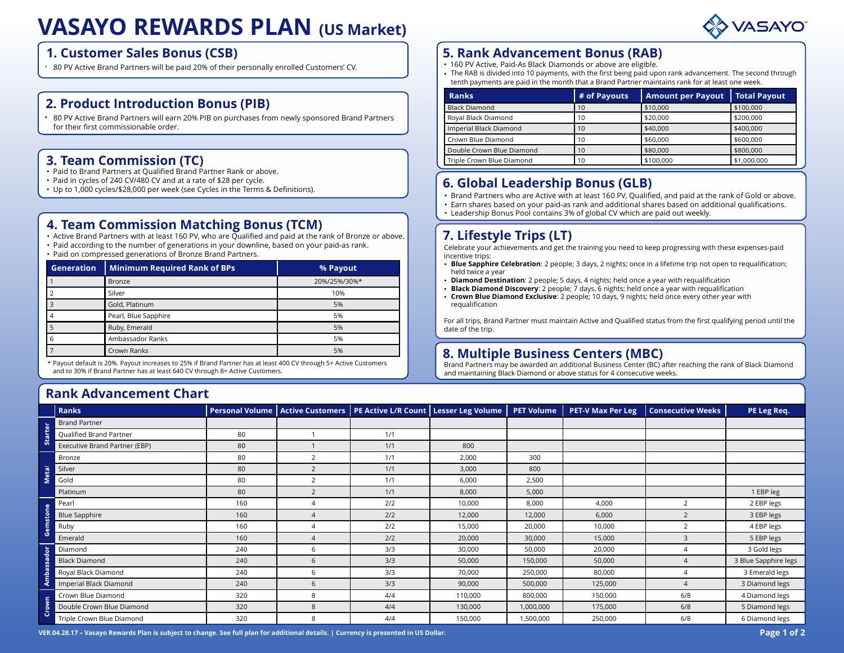# VASAYO REWARDS PLAN (US Market)

#### 1. Customer Sales Bonus (CSB)

### 2. Product Introduction Bonus (PIB)

#### 3. Team Commission (TC)

- Paid to Brand Partners at Qualified Brand Partner Rank or above.
- Paid in cycles of 240 CV/480 CV and at a rate of \$28 per cycle.
- 

### 4. Team Commission Matching Bonus (TCM)

- Active Brand Partners with at least 160 PV, who are Qualified and paid at the rank of Bronze or above.
- Paid according to the number of generations in your downline, based on your paid-as rank.
- Paid on compressed generations of Bronze Brand Partners.

|                   | 1. Customer Sales Bonus (CSB)<br>* 80 PV Active Brand Partners will be paid 20% of their personally enrolled Customers' CV.                                                                                                                                                                                      |                        |                                                        |                            |                                                                                                                                                                                                                               |                       | <b>5. Rank Advancement Bonus (RAB)</b><br>• 160 PV Active, Paid-As Black Diamonds or above are eligible.<br>• The RAB is divided into 10 payments, with the first being paid upon rank<br>tenth payments are paid in the month that a Brand Partner maintains ra |                 |  |
|-------------------|------------------------------------------------------------------------------------------------------------------------------------------------------------------------------------------------------------------------------------------------------------------------------------------------------------------|------------------------|--------------------------------------------------------|----------------------------|-------------------------------------------------------------------------------------------------------------------------------------------------------------------------------------------------------------------------------|-----------------------|------------------------------------------------------------------------------------------------------------------------------------------------------------------------------------------------------------------------------------------------------------------|-----------------|--|
|                   |                                                                                                                                                                                                                                                                                                                  |                        |                                                        |                            | <b>Ranks</b>                                                                                                                                                                                                                  |                       | # of Payouts                                                                                                                                                                                                                                                     | Amount <b>I</b> |  |
|                   | 2. Product Introduction Bonus (PIB)                                                                                                                                                                                                                                                                              |                        |                                                        |                            | <b>Black Diamond</b>                                                                                                                                                                                                          |                       | 10                                                                                                                                                                                                                                                               | \$10,000        |  |
|                   | • 80 PV Active Brand Partners will earn 20% PIB on purchases from newly sponsored Brand Partners                                                                                                                                                                                                                 |                        |                                                        | Royal Black Diamond        |                                                                                                                                                                                                                               | 10                    | \$20,000                                                                                                                                                                                                                                                         |                 |  |
|                   | for their first commissionable order.                                                                                                                                                                                                                                                                            |                        |                                                        |                            | Imperial Black Diamond                                                                                                                                                                                                        |                       | 10                                                                                                                                                                                                                                                               | \$40,000        |  |
|                   |                                                                                                                                                                                                                                                                                                                  |                        |                                                        |                            | Crown Blue Diamond                                                                                                                                                                                                            |                       | 10                                                                                                                                                                                                                                                               | \$60,000        |  |
|                   | 3. Team Commission (TC)                                                                                                                                                                                                                                                                                          |                        | Double Crown Blue Diamond<br>Triple Crown Blue Diamond |                            | 10<br>10                                                                                                                                                                                                                      | \$80,000<br>\$100,000 |                                                                                                                                                                                                                                                                  |                 |  |
|                   | • Paid to Brand Partners at Qualified Brand Partner Rank or above.<br>• Paid in cycles of 240 CV/480 CV and at a rate of \$28 per cycle.                                                                                                                                                                         |                        |                                                        |                            |                                                                                                                                                                                                                               |                       | 6. Global Leadership Bonus (GLB)                                                                                                                                                                                                                                 |                 |  |
|                   | 4. Team Commission Matching Bonus (TCM)<br>• Active Brand Partners with at least 160 PV, who are Qualified and paid at the rank of Bronze or above.<br>. Paid according to the number of generations in your downline, based on your paid-as rank.<br>• Paid on compressed generations of Bronze Brand Partners. |                        |                                                        |                            | 7. Lifestyle Trips (LT)<br>incentive trips:                                                                                                                                                                                   |                       | Celebrate your achievements and get the training you need to keep progre<br>• Blue Sapphire Celebration: 2 people; 3 days, 2 nights; once in a lifetime                                                                                                          |                 |  |
| <b>Generation</b> | <b>Minimum Required Rank of BPs</b>                                                                                                                                                                                                                                                                              |                        | % Payout                                               |                            | held twice a year                                                                                                                                                                                                             |                       |                                                                                                                                                                                                                                                                  |                 |  |
|                   | <b>Bronze</b>                                                                                                                                                                                                                                                                                                    |                        | 20%/25%/30%*                                           |                            | • Diamond Destination: 2 people: 5 days, 4 nights; held once a year with<br>• Black Diamond Discovery: 2 people; 7 days, 6 nights; held once a year<br>• Crown Blue Diamond Exclusive: 2 people: 10 days, 9 nights; held once |                       |                                                                                                                                                                                                                                                                  |                 |  |
| $\mathcal{P}$     | Silver                                                                                                                                                                                                                                                                                                           | 10%                    |                                                        |                            |                                                                                                                                                                                                                               |                       |                                                                                                                                                                                                                                                                  |                 |  |
|                   | Gold, Platinum                                                                                                                                                                                                                                                                                                   |                        | 5%                                                     |                            | requalification                                                                                                                                                                                                               |                       |                                                                                                                                                                                                                                                                  |                 |  |
|                   |                                                                                                                                                                                                                                                                                                                  |                        |                                                        |                            | For all trips, Brand Partner must maintain Active and Qualified status from                                                                                                                                                   |                       |                                                                                                                                                                                                                                                                  |                 |  |
| 4                 | Pearl, Blue Sapphire                                                                                                                                                                                                                                                                                             |                        | 5%                                                     |                            |                                                                                                                                                                                                                               |                       |                                                                                                                                                                                                                                                                  |                 |  |
| 5                 | Ruby, Emerald                                                                                                                                                                                                                                                                                                    |                        | 5%                                                     |                            | date of the trip.                                                                                                                                                                                                             |                       |                                                                                                                                                                                                                                                                  |                 |  |
| 6                 | Ambassador Ranks                                                                                                                                                                                                                                                                                                 |                        | 5%                                                     |                            |                                                                                                                                                                                                                               |                       |                                                                                                                                                                                                                                                                  |                 |  |
|                   | Crown Ranks                                                                                                                                                                                                                                                                                                      |                        | 5%                                                     |                            |                                                                                                                                                                                                                               |                       | 8. Multiple Business Centers (MBC)                                                                                                                                                                                                                               |                 |  |
|                   | * Payout default is 20%. Payout increases to 25% if Brand Partner has at least 400 CV through 5+ Active Customers<br>and to 30% if Brand Partner has at least 640 CV through 8+ Active Customers.                                                                                                                |                        |                                                        |                            |                                                                                                                                                                                                                               |                       | Brand Partners may be awarded an additional Business Center (BC) after re<br>and maintaining Black Diamond or above status for 4 consecutive weeks.                                                                                                              |                 |  |
|                   | <b>Rank Advancement Chart</b>                                                                                                                                                                                                                                                                                    |                        |                                                        |                            |                                                                                                                                                                                                                               |                       |                                                                                                                                                                                                                                                                  |                 |  |
| <b>Ranks</b>      |                                                                                                                                                                                                                                                                                                                  | <b>Personal Volume</b> | <b>Active Customers</b>                                | <b>PE Active L/R Count</b> | <b>Lesser Leg Volume</b>                                                                                                                                                                                                      | <b>PET Volume</b>     | <b>PET-V Max Per Leg</b>                                                                                                                                                                                                                                         | <b>Consecut</b> |  |

### 5. Rank Advancement Bonus (RAB)

- 160 PV Active, Paid-As Black Diamonds or above are eligible.
- The RAB is divided into 10 payments, with the first being paid upon rank advancement. The second through tenth payments are paid in the month that a Brand Partner maintains rank for at least one week.

|                                                                                                                                                                                                               |              |                          | VASAYO                 |
|---------------------------------------------------------------------------------------------------------------------------------------------------------------------------------------------------------------|--------------|--------------------------|------------------------|
|                                                                                                                                                                                                               |              |                          |                        |
| <b>5. Rank Advancement Bonus (RAB)</b>                                                                                                                                                                        |              |                          |                        |
| • 160 PV Active, Paid-As Black Diamonds or above are eligible.                                                                                                                                                |              |                          |                        |
| • The RAB is divided into 10 payments, with the first being paid upon rank advancement. The second through<br>tenth payments are paid in the month that a Brand Partner maintains rank for at least one week. |              |                          |                        |
|                                                                                                                                                                                                               | # of Payouts | <b>Amount per Payout</b> | <b>Total Payout</b>    |
|                                                                                                                                                                                                               |              |                          |                        |
| <b>Ranks</b>                                                                                                                                                                                                  |              |                          |                        |
| <b>Black Diamond</b>                                                                                                                                                                                          | 10<br>10     | \$10,000<br>\$20,000     | \$100,000<br>\$200,000 |
| Royal Black Diamond                                                                                                                                                                                           | 10           |                          |                        |
| Imperial Black Diamond<br>Crown Blue Diamond                                                                                                                                                                  | 10           | \$40,000<br>\$60,000     | \$400,000<br>\$600,000 |
| Double Crown Blue Diamond                                                                                                                                                                                     | 10           | \$80,000                 | \$800,000              |
| Triple Crown Blue Diamond                                                                                                                                                                                     | 10           | \$100,000                | \$1,000,000            |
|                                                                                                                                                                                                               |              |                          |                        |
|                                                                                                                                                                                                               |              |                          |                        |
| 6. Global Leadership Bonus (GLB)                                                                                                                                                                              |              |                          |                        |
| · Brand Partners who are Active with at least 160 PV, Qualified, and paid at the rank of Gold or above.<br>· Earn shares based on your paid-as rank and additional shares based on additional qualifications. |              |                          |                        |

### • Paid in cycles of 240 CV/480 CV and at a rate of \$28 per cycle.<br>• Up to 1,000 cycles/\$28,000 per week (see Cycles in the Terms & Definitions).

- Brand Partners who are Active with at least 160 PV, Qualified, and paid at the rank of Gold or above.
- Earn shares based on your paid-as rank and additional shares based on additional qualifications.
- Leadership Bonus Pool contains 3% of global CV which are paid out weekly.

### 7. Lifestyle Trips (LT)

- Blue Sapphire Celebration: 2 people; 3 days, 2 nights; once in a lifetime trip not open to requalification; held twice a year
- Diamond Destination: 2 people; 5 days, 4 nights; held once a year with requalification
- Black Diamond Discovery: 2 people; 7 days, 6 nights; held once a year with requalification
- Crown Blue Diamond Exclusive: 2 people; 10 days, 9 nights; held once every other year with requalification

### 8. Multiple Business Centers (MBC)

### Rank Advancement Chart

|                                                                                                                                                                                                                                                                                                                         |                                                                                                                                                                                                   |                |                                                            |                                                                                                                                                                                          |                                                                                                        | 1 U                                                                                            |                                  | ⊅0UU,UUU                                                                                                      |
|-------------------------------------------------------------------------------------------------------------------------------------------------------------------------------------------------------------------------------------------------------------------------------------------------------------------------|---------------------------------------------------------------------------------------------------------------------------------------------------------------------------------------------------|----------------|------------------------------------------------------------|------------------------------------------------------------------------------------------------------------------------------------------------------------------------------------------|--------------------------------------------------------------------------------------------------------|------------------------------------------------------------------------------------------------|----------------------------------|---------------------------------------------------------------------------------------------------------------|
| 3. Team Commission (TC)                                                                                                                                                                                                                                                                                                 |                                                                                                                                                                                                   |                | Double Crown Blue Diamond<br>Triple Crown Blue Diamond     |                                                                                                                                                                                          | 10 <sup>1</sup><br>10                                                                                  | \$80,000<br>\$100,000                                                                          | \$800,000<br>\$1,000,000         |                                                                                                               |
| • Paid to Brand Partners at Qualified Brand Partner Rank or above.<br>• Paid in cycles of 240 CV/480 CV and at a rate of \$28 per cycle.<br>• Up to 1,000 cycles/\$28,000 per week (see Cycles in the Terms & Definitions).                                                                                             |                                                                                                                                                                                                   |                |                                                            | 6. Global Leadership Bonus (GLB)<br>• Brand Partners who are Active with at least 160 PV, Qualified, and paid at the rank of Gold or above.                                              |                                                                                                        |                                                                                                |                                  |                                                                                                               |
|                                                                                                                                                                                                                                                                                                                         |                                                                                                                                                                                                   |                |                                                            | · Earn shares based on your paid-as rank and additional shares based on additional qualifications.<br>• Leadership Bonus Pool contains 3% of global CV which are paid out weekly.        |                                                                                                        |                                                                                                |                                  |                                                                                                               |
| <b>4. Team Commission Matching Bonus (TCM)</b><br>• Active Brand Partners with at least 160 PV, who are Qualified and paid at the rank of Bronze or above.<br>• Paid according to the number of generations in your downline, based on your paid-as rank.<br>· Paid on compressed generations of Bronze Brand Partners. |                                                                                                                                                                                                   |                | 7. Lifestyle Trips (LT)<br>incentive trips:                |                                                                                                                                                                                          | Celebrate your achievements and get the training you need to keep progressing with these expenses-paid |                                                                                                |                                  |                                                                                                               |
| <b>Generation</b>                                                                                                                                                                                                                                                                                                       | <b>Minimum Required Rank of BPs</b>                                                                                                                                                               | % Payout       |                                                            | held twice a year                                                                                                                                                                        |                                                                                                        |                                                                                                |                                  | • Blue Sapphire Celebration: 2 people; 3 days, 2 nights; once in a lifetime trip not open to requalification; |
| Bronze                                                                                                                                                                                                                                                                                                                  | 20%/25%/30%*<br>Silver                                                                                                                                                                            |                |                                                            |                                                                                                                                                                                          |                                                                                                        | <b>Diamond Destination</b> : 2 people; 5 days, 4 nights; held once a year with requalification |                                  |                                                                                                               |
|                                                                                                                                                                                                                                                                                                                         |                                                                                                                                                                                                   |                |                                                            | Black Diamond Discovery: 2 people; 7 days, 6 nights; held once a year with requalification<br>Crown Blue Diamond Exclusive: 2 people; 10 days, 9 nights; held once every other year with |                                                                                                        |                                                                                                |                                  |                                                                                                               |
| Gold, Platinum                                                                                                                                                                                                                                                                                                          |                                                                                                                                                                                                   | 5%             |                                                            | requalification                                                                                                                                                                          |                                                                                                        |                                                                                                |                                  |                                                                                                               |
|                                                                                                                                                                                                                                                                                                                         | 5%<br>Pearl, Blue Sapphire<br>5%<br>Ruby, Emerald<br>5%<br>Ambassador Ranks<br>5%                                                                                                                 |                |                                                            | For all trips, Brand Partner must maintain Active and Qualified status from the first qualifying period until the                                                                        |                                                                                                        |                                                                                                |                                  |                                                                                                               |
|                                                                                                                                                                                                                                                                                                                         |                                                                                                                                                                                                   |                |                                                            | date of the trip.                                                                                                                                                                        |                                                                                                        |                                                                                                |                                  |                                                                                                               |
|                                                                                                                                                                                                                                                                                                                         |                                                                                                                                                                                                   |                |                                                            |                                                                                                                                                                                          |                                                                                                        |                                                                                                |                                  |                                                                                                               |
| Crown Ranks                                                                                                                                                                                                                                                                                                             |                                                                                                                                                                                                   |                |                                                            |                                                                                                                                                                                          |                                                                                                        |                                                                                                |                                  |                                                                                                               |
| <b>Rank Advancement Chart</b>                                                                                                                                                                                                                                                                                           | * Payout default is 20%. Payout increases to 25% if Brand Partner has at least 400 CV through 5+ Active Customers<br>and to 30% if Brand Partner has at least 640 CV through 8+ Active Customers. |                |                                                            | 8. Multiple Business Centers (MBC)                                                                                                                                                       |                                                                                                        | and maintaining Black Diamond or above status for 4 consecutive weeks.                         |                                  | Brand Partners may be awarded an additional Business Center (BC) after reaching the rank of Black Diamond     |
| <b>Ranks</b>                                                                                                                                                                                                                                                                                                            | <b>Personal Volume</b>                                                                                                                                                                            |                | Active Customers   PE Active L/R Count   Lesser Leg Volume |                                                                                                                                                                                          | <b>PET Volume</b>                                                                                      | <b>PET-V Max Per Leg</b>                                                                       | <b>Consecutive Weeks</b>         | PE Leg Req.                                                                                                   |
|                                                                                                                                                                                                                                                                                                                         |                                                                                                                                                                                                   |                |                                                            |                                                                                                                                                                                          |                                                                                                        |                                                                                                |                                  |                                                                                                               |
|                                                                                                                                                                                                                                                                                                                         | 80                                                                                                                                                                                                | $\overline{1}$ | 1/1                                                        |                                                                                                                                                                                          |                                                                                                        |                                                                                                |                                  |                                                                                                               |
|                                                                                                                                                                                                                                                                                                                         | 80                                                                                                                                                                                                | $\overline{1}$ | 1/1                                                        | 800                                                                                                                                                                                      |                                                                                                        |                                                                                                |                                  |                                                                                                               |
|                                                                                                                                                                                                                                                                                                                         | 80                                                                                                                                                                                                | 2              | 1/1                                                        | 2,000                                                                                                                                                                                    | 300                                                                                                    |                                                                                                |                                  |                                                                                                               |
|                                                                                                                                                                                                                                                                                                                         | 80                                                                                                                                                                                                | $\overline{2}$ | 1/1                                                        | 3,000                                                                                                                                                                                    | 800                                                                                                    |                                                                                                |                                  |                                                                                                               |
| <b>Brand Partner</b><br>Qualified Brand Partner<br>Executive Brand Partner (EBP)<br>Bronze<br>Silver<br>Gold                                                                                                                                                                                                            | 80                                                                                                                                                                                                | $\overline{2}$ | 1/1                                                        | 6,000                                                                                                                                                                                    | 2,500                                                                                                  |                                                                                                |                                  |                                                                                                               |
|                                                                                                                                                                                                                                                                                                                         | 80                                                                                                                                                                                                | $\overline{2}$ | 1/1                                                        | 8.000                                                                                                                                                                                    | 5,000                                                                                                  |                                                                                                |                                  | 1 EBP leg                                                                                                     |
|                                                                                                                                                                                                                                                                                                                         | 160                                                                                                                                                                                               | $\Delta$       | 2/2                                                        | 10,000                                                                                                                                                                                   | 8,000                                                                                                  | 4,000                                                                                          | $\overline{2}$                   | 2 EBP legs                                                                                                    |
|                                                                                                                                                                                                                                                                                                                         | 160                                                                                                                                                                                               | $\overline{4}$ | 2/2                                                        | 12,000                                                                                                                                                                                   | 12,000                                                                                                 | 6,000                                                                                          | $\overline{2}$                   | 3 EBP legs                                                                                                    |
|                                                                                                                                                                                                                                                                                                                         | 160                                                                                                                                                                                               | $\overline{4}$ | 2/2                                                        | 15,000                                                                                                                                                                                   | 20,000                                                                                                 | 10,000                                                                                         | $\overline{2}$                   | 4 EBP legs                                                                                                    |
|                                                                                                                                                                                                                                                                                                                         | 160                                                                                                                                                                                               | $\overline{4}$ | 2/2                                                        | 20,000                                                                                                                                                                                   | 30,000                                                                                                 | 15,000                                                                                         | $\overline{3}$<br>$\overline{4}$ | 5 EBP legs                                                                                                    |
|                                                                                                                                                                                                                                                                                                                         | 240<br>240                                                                                                                                                                                        | 6<br>6         | 3/3<br>3/3                                                 | 30,000<br>50,000                                                                                                                                                                         | 50,000<br>150,000                                                                                      | 20,000<br>50,000                                                                               | $\overline{4}$                   | 3 Gold legs<br>3 Blue Sapphire legs                                                                           |
|                                                                                                                                                                                                                                                                                                                         | 240                                                                                                                                                                                               | 6              | 3/3                                                        | 70,000                                                                                                                                                                                   | 250,000                                                                                                | 80,000                                                                                         | $\Delta$                         | 3 Emerald legs                                                                                                |
| Platinum<br>Pearl<br><b>Blue Sapphire</b><br>Ruby<br>Emerald<br>Diamond<br><b>Black Diamond</b><br>Royal Black Diamond<br>Imperial Black Diamond                                                                                                                                                                        | 240                                                                                                                                                                                               | 6              | 3/3                                                        | 90,000                                                                                                                                                                                   | 500,000                                                                                                | 125,000                                                                                        | $\overline{4}$                   | 3 Diamond legs                                                                                                |
| Crown Blue Diamond                                                                                                                                                                                                                                                                                                      | 320                                                                                                                                                                                               | 8              | 4/4                                                        | 110,000                                                                                                                                                                                  | 800,000                                                                                                | 150,000                                                                                        | 6/8                              | 4 Diamond legs                                                                                                |
| Double Crown Blue Diamond                                                                                                                                                                                                                                                                                               | 320                                                                                                                                                                                               | $\mathbf{g}$   | 4/4                                                        | 130.000                                                                                                                                                                                  | 1,000,000                                                                                              | 175,000                                                                                        | 6/8                              | 5 Diamond legs                                                                                                |